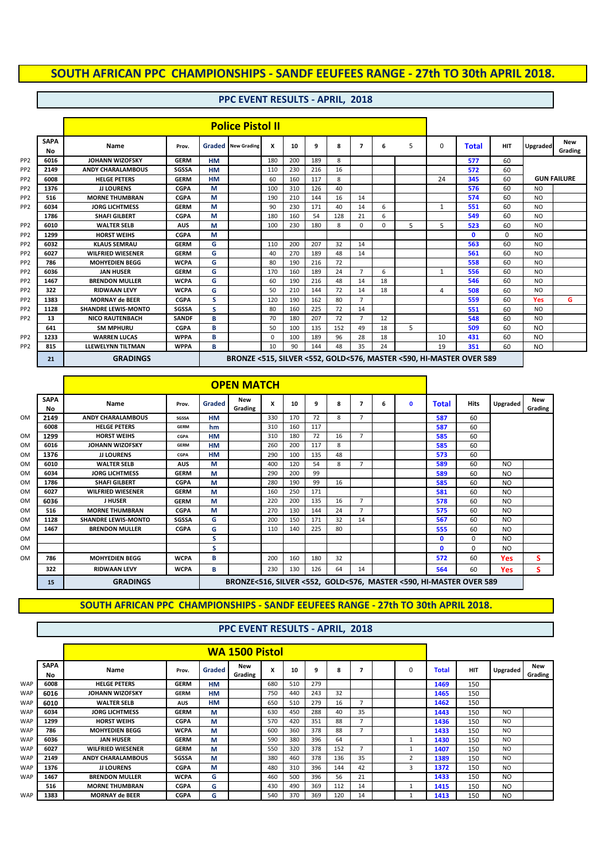## **PPC EVENT RESULTS - APRIL, 2018**

|                 |                   |                            |                                                                     |           | <b>Police Pistol II</b>   |     |     |     |     |                |    |   |              |              |            |                |                       |
|-----------------|-------------------|----------------------------|---------------------------------------------------------------------|-----------|---------------------------|-----|-----|-----|-----|----------------|----|---|--------------|--------------|------------|----------------|-----------------------|
|                 | <b>SAPA</b><br>No | Name                       | Prov.                                                               |           | <b>Graded</b> New Grading | x   | 10  | 9   | 8   | 7              | 6  | 5 | $\Omega$     | <b>Total</b> | <b>HIT</b> | Upgraded       | <b>New</b><br>Grading |
| PP <sub>2</sub> | 6016              | <b>JOHANN WIZOFSKY</b>     | <b>GERM</b>                                                         | <b>HM</b> |                           | 180 | 200 | 189 | 8   |                |    |   |              | 577          | 60         |                |                       |
| PP <sub>2</sub> | 2149              | <b>ANDY CHARALAMBOUS</b>   | <b>SGSSA</b>                                                        | <b>HM</b> |                           | 110 | 230 | 216 | 16  |                |    |   |              | 572          | 60         |                |                       |
| PP <sub>2</sub> | 6008              | <b>HELGE PETERS</b>        | <b>GERM</b>                                                         | <b>HM</b> |                           | 60  | 160 | 117 | 8   |                |    |   | 24           | 345          | 60         |                | <b>GUN FAILURE</b>    |
| PP <sub>2</sub> | 1376              | <b>JJ LOURENS</b>          | <b>CGPA</b>                                                         | М         |                           | 100 | 310 | 126 | 40  |                |    |   |              | 576          | 60         | <b>NO</b>      |                       |
| PP <sub>2</sub> | 516               | <b>MORNE THUMBRAN</b>      | <b>CGPA</b>                                                         | М         |                           | 190 | 210 | 144 | 16  | 14             |    |   |              | 574          | 60         | N <sub>O</sub> |                       |
| PP <sub>2</sub> | 6034              | <b>JORG LICHTMESS</b>      | <b>GERM</b>                                                         | М         |                           | 90  | 230 | 171 | 40  | 14             | 6  |   | $\mathbf{1}$ | 551          | 60         | N <sub>O</sub> |                       |
|                 | 1786              | <b>SHAFI GILBERT</b>       | <b>CGPA</b>                                                         | М         |                           | 180 | 160 | 54  | 128 | 21             | 6  |   |              | 549          | 60         | N <sub>O</sub> |                       |
| PP <sub>2</sub> | 6010              | <b>WALTER SELB</b>         | <b>AUS</b>                                                          | М         |                           | 100 | 230 | 180 | 8   | 0              | 0  | 5 | 5            | 523          | 60         | <b>NO</b>      |                       |
| PP <sub>2</sub> | 1299              | <b>HORST WEIHS</b>         | <b>CGPA</b>                                                         | М         |                           |     |     |     |     |                |    |   |              | $\mathbf{0}$ | 0          | N <sub>O</sub> |                       |
| PP <sub>2</sub> | 6032              | <b>KLAUS SEMRAU</b>        | <b>GERM</b>                                                         | G         |                           | 110 | 200 | 207 | 32  | 14             |    |   |              | 563          | 60         | N <sub>O</sub> |                       |
| PP <sub>2</sub> | 6027              | <b>WILFRIED WIESENER</b>   | <b>GERM</b>                                                         | G         |                           | 40  | 270 | 189 | 48  | 14             |    |   |              | 561          | 60         | <b>NO</b>      |                       |
| PP <sub>2</sub> | 786               | <b>MOHYEDIEN BEGG</b>      | <b>WCPA</b>                                                         | G         |                           | 80  | 190 | 216 | 72  |                |    |   |              | 558          | 60         | <b>NO</b>      |                       |
| PP <sub>2</sub> | 6036              | <b>JAN HUSER</b>           | <b>GERM</b>                                                         | G         |                           | 170 | 160 | 189 | 24  | $\overline{7}$ | 6  |   | 1            | 556          | 60         | N <sub>O</sub> |                       |
| PP <sub>2</sub> | 1467              | <b>BRENDON MULLER</b>      | <b>WCPA</b>                                                         | G         |                           | 60  | 190 | 216 | 48  | 14             | 18 |   |              | 546          | 60         | N <sub>O</sub> |                       |
| PP <sub>2</sub> | 322               | <b>RIDWAAN LEVY</b>        | <b>WCPA</b>                                                         | G         |                           | 50  | 210 | 144 | 72  | 14             | 18 |   | 4            | 508          | 60         | N <sub>O</sub> |                       |
| PP <sub>2</sub> | 1383              | <b>MORNAY de BEER</b>      | <b>CGPA</b>                                                         | S         |                           | 120 | 190 | 162 | 80  | $\overline{7}$ |    |   |              | 559          | 60         | Yes            | G                     |
| PP <sub>2</sub> | 1128              | <b>SHANDRE LEWIS-MONTO</b> | <b>SGSSA</b>                                                        | s         |                           | 80  | 160 | 225 | 72  | 14             |    |   |              | 551          | 60         | N <sub>O</sub> |                       |
| PP <sub>2</sub> | 13                | <b>NICO RAUTENBACH</b>     | <b>SANDF</b>                                                        | B         |                           | 70  | 180 | 207 | 72  | 7              | 12 |   |              | 548          | 60         | N <sub>O</sub> |                       |
|                 | 641               | <b>SM MPHURU</b>           | <b>CGPA</b>                                                         | B         |                           | 50  | 100 | 135 | 152 | 49             | 18 | 5 |              | 509          | 60         | NO.            |                       |
| PP <sub>2</sub> | 1233              | <b>WARREN LUCAS</b>        | <b>WPPA</b>                                                         | B         |                           | 0   | 100 | 189 | 96  | 28             | 18 |   | 10           | 431          | 60         | NO.            |                       |
| PP <sub>2</sub> | 815               | <b>LLEWELYNN TILTMAN</b>   | <b>WPPA</b>                                                         | в         |                           | 10  | 90  | 144 | 48  | 35             | 24 |   | 19           | 351          | 60         | NO.            |                       |
|                 | 21                | <b>GRADINGS</b>            | BRONZE <515, SILVER <552, GOLD<576, MASTER <590, HI-MASTER OVER 589 |           |                           |     |     |     |     |                |    |   |              |              |            |                |                       |

 $\overline{\phantom{0}}$ 

|           |                   |                            |              |           | <b>OPEN MATCH</b>                                                  |     |     |     |    |                |   |   |              |             |                |                |
|-----------|-------------------|----------------------------|--------------|-----------|--------------------------------------------------------------------|-----|-----|-----|----|----------------|---|---|--------------|-------------|----------------|----------------|
|           | <b>SAPA</b><br>No | Name                       | Prov.        | Graded    | New<br>Grading                                                     | x   | 10  | 9   | 8  |                | 6 | O | <b>Total</b> | <b>Hits</b> | Upgraded       | New<br>Grading |
| <b>OM</b> | 2149              | <b>ANDY CHARALAMBOUS</b>   | <b>SGSSA</b> | <b>HM</b> |                                                                    | 330 | 170 | 72  | 8  | $\overline{7}$ |   |   | 587          | 60          |                |                |
|           | 6008              | <b>HELGE PETERS</b>        | <b>GERM</b>  | hm        |                                                                    | 310 | 160 | 117 |    |                |   |   | 587          | 60          |                |                |
| <b>OM</b> | 1299              | <b>HORST WEIHS</b>         | CGPA         | <b>HM</b> |                                                                    | 310 | 180 | 72  | 16 | $\overline{7}$ |   |   | 585          | 60          |                |                |
| <b>OM</b> | 6016              | <b>JOHANN WIZOFSKY</b>     | <b>GERM</b>  | <b>HM</b> |                                                                    | 260 | 200 | 117 | 8  |                |   |   | 585          | 60          |                |                |
| <b>OM</b> | 1376              | <b>JJ LOURENS</b>          | <b>CGPA</b>  | <b>HM</b> |                                                                    | 290 | 100 | 135 | 48 |                |   |   | 573          | 60          |                |                |
| <b>OM</b> | 6010              | <b>WALTER SELB</b>         | <b>AUS</b>   | М         |                                                                    | 400 | 120 | 54  | 8  | $\overline{7}$ |   |   | 589          | 60          | N <sub>O</sub> |                |
| <b>OM</b> | 6034              | <b>JORG LICHTMESS</b>      | <b>GERM</b>  | М         |                                                                    | 290 | 200 | 99  |    |                |   |   | 589          | 60          | N <sub>O</sub> |                |
| <b>OM</b> | 1786              | <b>SHAFI GILBERT</b>       | <b>CGPA</b>  | M         |                                                                    | 280 | 190 | 99  | 16 |                |   |   | 585          | 60          | N <sub>O</sub> |                |
| <b>OM</b> | 6027              | <b>WILFRIED WIESENER</b>   | <b>GERM</b>  | М         |                                                                    | 160 | 250 | 171 |    |                |   |   | 581          | 60          | N <sub>O</sub> |                |
| <b>OM</b> | 6036              | <b>J HUSER</b>             | <b>GERM</b>  | М         |                                                                    | 220 | 200 | 135 | 16 | $\overline{7}$ |   |   | 578          | 60          | N <sub>O</sub> |                |
| <b>OM</b> | 516               | <b>MORNE THUMBRAN</b>      | <b>CGPA</b>  | M         |                                                                    | 270 | 130 | 144 | 24 | $\overline{ }$ |   |   | 575          | 60          | N <sub>O</sub> |                |
| <b>OM</b> | 1128              | <b>SHANDRE LEWIS-MONTO</b> | <b>SGSSA</b> | G         |                                                                    | 200 | 150 | 171 | 32 | 14             |   |   | 567          | 60          | N <sub>O</sub> |                |
| <b>OM</b> | 1467              | <b>BRENDON MULLER</b>      | <b>CGPA</b>  | G         |                                                                    | 110 | 140 | 225 | 80 |                |   |   | 555          | 60          | N <sub>O</sub> |                |
| <b>OM</b> |                   |                            |              | s         |                                                                    |     |     |     |    |                |   |   | O            | $\Omega$    | N <sub>O</sub> |                |
| <b>OM</b> |                   |                            |              | s         |                                                                    |     |     |     |    |                |   |   | 0            | $\Omega$    | N <sub>O</sub> |                |
| <b>OM</b> | 786               | <b>MOHYEDIEN BEGG</b>      | <b>WCPA</b>  | в         |                                                                    | 200 | 160 | 180 | 32 |                |   |   | 572          | 60          | Yes            | s              |
|           | 322               | <b>RIDWAAN LEVY</b>        | <b>WCPA</b>  | B         |                                                                    | 230 | 130 | 126 | 64 | 14             |   |   | 564          | 60          | Yes            | s              |
|           | 15                | <b>GRADINGS</b>            |              |           | BRONZE<516, SILVER <552, GOLD<576, MASTER <590, HI-MASTER OVER 589 |     |     |     |    |                |   |   |              |             |                |                |

 $\blacksquare$ 

#### **SOUTH AFRICAN PPC CHAMPIONSHIPS - SANDF EEUFEES RANGE - 27th TO 30th APRIL 2018.**

|            |                   |                          |              |           | <b>WA 1500 Pistol</b> |     |     |     |     |    |                |              |            |                |                |
|------------|-------------------|--------------------------|--------------|-----------|-----------------------|-----|-----|-----|-----|----|----------------|--------------|------------|----------------|----------------|
|            | <b>SAPA</b><br>Nο | Name                     | Prov.        | Graded    | New<br>Grading        | x   | 10  | 9   | 8   |    | $\Omega$       | <b>Total</b> | <b>HIT</b> | Upgraded       | New<br>Grading |
| <b>WAP</b> | 6008              | <b>HELGE PETERS</b>      | <b>GERM</b>  | <b>HM</b> |                       | 680 | 510 | 279 |     |    |                | 1469         | 150        |                |                |
| <b>WAP</b> | 6016              | <b>JOHANN WIZOFSKY</b>   | <b>GERM</b>  | <b>HM</b> |                       | 750 | 440 | 243 | 32  |    |                | 1465         | 150        |                |                |
| <b>WAP</b> | 6010              | <b>WALTER SELB</b>       | <b>AUS</b>   | HM        |                       | 650 | 510 | 279 | 16  |    |                | 1462         | 150        |                |                |
| <b>WAP</b> | 6034              | <b>JORG LICHTMESS</b>    | <b>GERM</b>  | М         |                       | 630 | 450 | 288 | 40  | 35 |                | 1443         | 150        | N <sub>O</sub> |                |
| <b>WAP</b> | 1299              | <b>HORST WEIHS</b>       | <b>CGPA</b>  | М         |                       | 570 | 420 | 351 | 88  |    |                | 1436         | 150        | N <sub>O</sub> |                |
| <b>WAP</b> | 786               | <b>MOHYEDIEN BEGG</b>    | <b>WCPA</b>  | М         |                       | 600 | 360 | 378 | 88  |    |                | 1433         | 150        | N <sub>O</sub> |                |
| <b>WAP</b> | 6036              | <b>JAN HUSER</b>         | <b>GERM</b>  | М         |                       | 590 | 380 | 396 | 64  |    |                | 1430         | 150        | N <sub>O</sub> |                |
| <b>WAP</b> | 6027              | <b>WILFRIED WIESENER</b> | <b>GERM</b>  | М         |                       | 550 | 320 | 378 | 152 |    |                | 1407         | 150        | N <sub>O</sub> |                |
| <b>WAP</b> | 2149              | <b>ANDY CHARALAMBOUS</b> | <b>SGSSA</b> | М         |                       | 380 | 460 | 378 | 136 | 35 | $\overline{2}$ | 1389         | 150        | N <sub>O</sub> |                |
| <b>WAP</b> | 1376              | <b>JJ LOURENS</b>        | <b>CGPA</b>  | М         |                       | 480 | 310 | 396 | 144 | 42 | 3              | 1372         | 150        | N <sub>O</sub> |                |
| <b>WAP</b> | 1467              | <b>BRENDON MULLER</b>    | <b>WCPA</b>  | G         |                       | 460 | 500 | 396 | 56  | 21 |                | 1433         | 150        | N <sub>O</sub> |                |
|            | 516               | <b>MORNE THUMBRAN</b>    | <b>CGPA</b>  | G         |                       | 430 | 490 | 369 | 112 | 14 |                | 1415         | 150        | N <sub>O</sub> |                |
| <b>WAP</b> | 1383              | <b>MORNAY de BEER</b>    | <b>CGPA</b>  | G         |                       | 540 | 370 | 369 | 120 | 14 |                | 1413         | 150        | N <sub>O</sub> |                |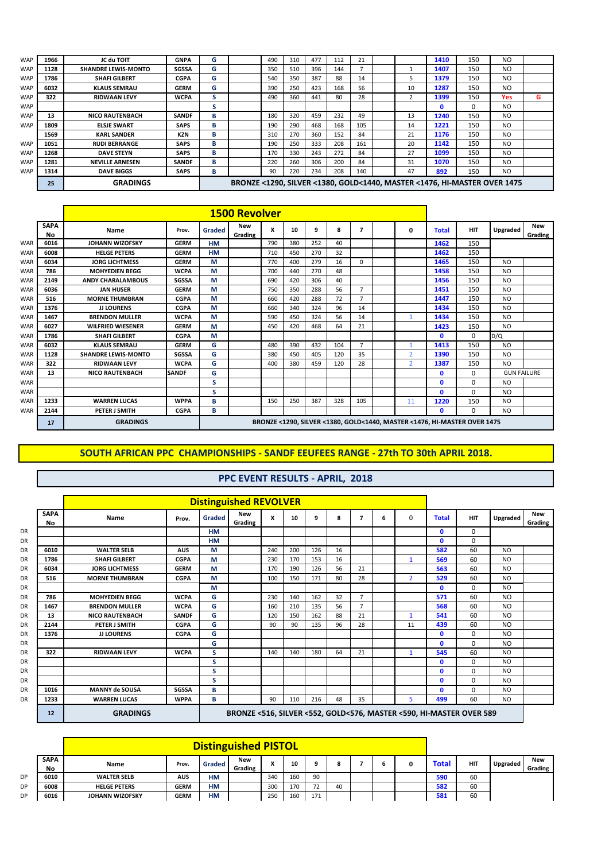| <b>WAP</b> | 1966 | JC du TOIT                 | <b>GNPA</b>  | G | 490 | 310 | 477 | 112 | 21  |    | 1410                                                                     | 150 | N <sub>O</sub> |   |
|------------|------|----------------------------|--------------|---|-----|-----|-----|-----|-----|----|--------------------------------------------------------------------------|-----|----------------|---|
| <b>WAP</b> | 1128 | <b>SHANDRE LEWIS-MONTO</b> | <b>SGSSA</b> | G | 350 | 510 | 396 | 144 |     |    | 1407                                                                     | 150 | N <sub>O</sub> |   |
| <b>WAP</b> | 1786 | <b>SHAFI GILBERT</b>       | <b>CGPA</b>  | G | 540 | 350 | 387 | 88  | 14  |    | 1379                                                                     | 150 | N <sub>O</sub> |   |
| <b>WAP</b> | 6032 | <b>KLAUS SEMRAU</b>        | <b>GERM</b>  | G | 390 | 250 | 423 | 168 | 56  | 10 | 1287                                                                     | 150 | N <sub>O</sub> |   |
| <b>WAP</b> | 322  | <b>RIDWAAN LEVY</b>        | <b>WCPA</b>  | S | 490 | 360 | 441 | 80  | 28  |    | 1399                                                                     | 150 | Yes            | G |
| <b>WAP</b> |      |                            |              | s |     |     |     |     |     |    |                                                                          | 0   | N <sub>O</sub> |   |
| <b>WAP</b> | 13   | <b>NICO RAUTENBACH</b>     | <b>SANDF</b> | в | 180 | 320 | 459 | 232 | 49  | 13 | 1240                                                                     | 150 | N <sub>O</sub> |   |
| <b>WAP</b> | 1809 | <b>ELSJE SWART</b>         | <b>SAPS</b>  | B | 190 | 290 | 468 | 168 | 105 | 14 | 1221                                                                     | 150 | N <sub>O</sub> |   |
|            | 1569 | <b>KARL SANDER</b>         | <b>KZN</b>   | в | 310 | 270 | 360 | 152 | 84  | 21 | 1176                                                                     | 150 | N <sub>O</sub> |   |
| <b>WAP</b> | 1051 | <b>RUDI BERRANGE</b>       | <b>SAPS</b>  | в | 190 | 250 | 333 | 208 | 161 | 20 | 1142                                                                     | 150 | N <sub>O</sub> |   |
| <b>WAP</b> | 1268 | <b>DAVE STEYN</b>          | <b>SAPS</b>  | в | 170 | 330 | 243 | 272 | 84  | 27 | 1099                                                                     | 150 | N <sub>O</sub> |   |
| <b>WAP</b> | 1281 | <b>NEVILLE ARNESEN</b>     | <b>SANDF</b> | в | 220 | 260 | 306 | 200 | 84  | 31 | 1070                                                                     | 150 | N <sub>O</sub> |   |
| <b>WAP</b> | 1314 | <b>DAVE BIGGS</b>          | <b>SAPS</b>  | в | 90  | 220 | 234 | 208 | 140 | 47 | 892                                                                      | 150 | N <sub>O</sub> |   |
|            | 25   | <b>GRADINGS</b>            |              |   |     |     |     |     |     |    | BRONZE <1290, SILVER <1380, GOLD<1440, MASTER <1476, HI-MASTER OVER 1475 |     |                |   |

|            |                   |                            |              |           | <b>1500 Revolver</b> |     |     |     |     |                |                |              |                                                                          |                    |                         |
|------------|-------------------|----------------------------|--------------|-----------|----------------------|-----|-----|-----|-----|----------------|----------------|--------------|--------------------------------------------------------------------------|--------------------|-------------------------|
|            | <b>SAPA</b><br>No | Name                       | Prov.        | Graded    | New<br>Grading       | x   | 10  | 9   | 8   | 7              | 0              | <b>Total</b> | <b>HIT</b>                                                               | Upgraded           | <b>New</b><br>Grading ! |
| WAR        | 6016              | <b>JOHANN WIZOFSKY</b>     | <b>GERM</b>  | <b>HM</b> |                      | 790 | 380 | 252 | 40  |                |                | 1462         | 150                                                                      |                    |                         |
| <b>WAR</b> | 6008              | <b>HELGE PETERS</b>        | <b>GERM</b>  | <b>HM</b> |                      | 710 | 450 | 270 | 32  |                |                | 1462         | 150                                                                      |                    |                         |
| <b>WAR</b> | 6034              | <b>JORG LICHTMESS</b>      | <b>GERM</b>  | M         |                      | 770 | 400 | 279 | 16  | 0              |                | 1465         | 150                                                                      | <b>NO</b>          |                         |
| <b>WAR</b> | 786               | <b>MOHYEDIEN BEGG</b>      | <b>WCPA</b>  | M         |                      | 700 | 440 | 270 | 48  |                |                | 1458         | 150                                                                      | N <sub>O</sub>     |                         |
| WAR        | 2149              | <b>ANDY CHARALAMBOUS</b>   | <b>SGSSA</b> | M         |                      | 690 | 420 | 306 | 40  |                |                | 1456         | 150                                                                      | N <sub>O</sub>     |                         |
| WAR        | 6036              | <b>JAN HUSER</b>           | <b>GERM</b>  | M         |                      | 750 | 350 | 288 | 56  | $\overline{7}$ |                | 1451         | 150                                                                      | N <sub>O</sub>     |                         |
| <b>WAR</b> | 516               | <b>MORNE THUMBRAN</b>      | <b>CGPA</b>  | M         |                      | 660 | 420 | 288 | 72  | 7              |                | 1447         | 150                                                                      | N <sub>O</sub>     |                         |
| <b>WAR</b> | 1376              | <b>JJ LOURENS</b>          | <b>CGPA</b>  | M         |                      | 660 | 340 | 324 | 96  | 14             |                | 1434         | 150                                                                      | N <sub>O</sub>     |                         |
| WAR        | 1467              | <b>BRENDON MULLER</b>      | <b>WCPA</b>  | M         |                      | 590 | 450 | 324 | 56  | 14             |                | 1434         | 150                                                                      | N <sub>O</sub>     |                         |
| <b>WAR</b> | 6027              | <b>WILFRIED WIESENER</b>   | <b>GERM</b>  | M         |                      | 450 | 420 | 468 | 64  | 21             |                | 1423         | 150                                                                      | N <sub>O</sub>     |                         |
| <b>WAR</b> | 1786              | <b>SHAFI GILBERT</b>       | <b>CGPA</b>  | M         |                      |     |     |     |     |                |                | 0            | 0                                                                        | D/Q                |                         |
| <b>WAR</b> | 6032              | <b>KLAUS SEMRAU</b>        | <b>GERM</b>  | G         |                      | 480 | 390 | 432 | 104 | $\overline{7}$ |                | 1413         | 150                                                                      | N <sub>O</sub>     |                         |
| <b>WAR</b> | 1128              | <b>SHANDRE LEWIS-MONTO</b> | <b>SGSSA</b> | G         |                      | 380 | 450 | 405 | 120 | 35             | $\overline{2}$ | 1390         | 150                                                                      | N <sub>O</sub>     |                         |
| <b>WAR</b> | 322               | <b>RIDWAAN LEVY</b>        | <b>WCPA</b>  | G         |                      | 400 | 380 | 459 | 120 | 28             | $\overline{2}$ | 1387         | 150                                                                      | N <sub>O</sub>     |                         |
| <b>WAR</b> | 13                | <b>NICO RAUTENBACH</b>     | <b>SANDF</b> | G         |                      |     |     |     |     |                |                | 0            | $\Omega$                                                                 | <b>GUN FAILURE</b> |                         |
| <b>WAR</b> |                   |                            |              | S         |                      |     |     |     |     |                |                | 0            | 0                                                                        | N <sub>O</sub>     |                         |
| <b>WAR</b> |                   |                            |              | s         |                      |     |     |     |     |                |                | O.           | 0                                                                        | N <sub>O</sub>     |                         |
| <b>WAR</b> | 1233              | <b>WARREN LUCAS</b>        | <b>WPPA</b>  | в         |                      | 150 | 250 | 387 | 328 | 105            | 11             | 1220         | 150                                                                      | N <sub>O</sub>     |                         |
| <b>WAR</b> | 2144              | <b>PETER J SMITH</b>       | <b>CGPA</b>  | В         |                      |     |     |     |     |                |                | 0            | 0                                                                        | N <sub>O</sub>     |                         |
|            | 17                | <b>GRADINGS</b>            |              |           |                      |     |     |     |     |                |                |              | BRONZE <1290, SILVER <1380, GOLD<1440, MASTER <1476, HI-MASTER OVER 1475 |                    |                         |

#### **PPC EVENT RESULTS - APRIL, 2018**

|                          |                        |              |           | <b>Distinguished REVOLVER</b>                                       |     |     |     |    |                |   |                |              |            |                |                         |
|--------------------------|------------------------|--------------|-----------|---------------------------------------------------------------------|-----|-----|-----|----|----------------|---|----------------|--------------|------------|----------------|-------------------------|
| <b>SAPA</b><br><b>No</b> | Name                   | Prov.        | Graded    | New<br>Grading                                                      | X   | 10  | 9   | 8  | 7              | 6 | $\Omega$       | <b>Total</b> | <b>HIT</b> | Upgraded       | <b>New</b><br>Grading ! |
|                          |                        |              | <b>HM</b> |                                                                     |     |     |     |    |                |   |                | $\mathbf{0}$ | $\Omega$   |                |                         |
|                          |                        |              | <b>HM</b> |                                                                     |     |     |     |    |                |   |                | $\mathbf{0}$ | 0          |                |                         |
| 6010                     | <b>WALTER SELB</b>     | <b>AUS</b>   | М         |                                                                     | 240 | 200 | 126 | 16 |                |   |                | 582          | 60         | <b>NO</b>      |                         |
| 1786                     | <b>SHAFI GILBERT</b>   | <b>CGPA</b>  | М         |                                                                     | 230 | 170 | 153 | 16 |                |   | 1              | 569          | 60         | N <sub>O</sub> |                         |
| 6034                     | <b>JORG LICHTMESS</b>  | <b>GERM</b>  | M         |                                                                     | 170 | 190 | 126 | 56 | 21             |   |                | 563          | 60         | <b>NO</b>      |                         |
| 516                      | <b>MORNE THUMBRAN</b>  | <b>CGPA</b>  | M         |                                                                     | 100 | 150 | 171 | 80 | 28             |   | $\overline{2}$ | 529          | 60         | <b>NO</b>      |                         |
|                          |                        |              | М         |                                                                     |     |     |     |    |                |   |                | $\mathbf{0}$ | 0          | N <sub>O</sub> |                         |
| 786                      | <b>MOHYEDIEN BEGG</b>  | <b>WCPA</b>  | G         |                                                                     | 230 | 140 | 162 | 32 | $\overline{7}$ |   |                | 571          | 60         | N <sub>O</sub> |                         |
| 1467                     | <b>BRENDON MULLER</b>  | <b>WCPA</b>  | G         |                                                                     | 160 | 210 | 135 | 56 | $\overline{7}$ |   |                | 568          | 60         | N <sub>O</sub> |                         |
| 13                       | <b>NICO RAUTENBACH</b> | <b>SANDF</b> | G         |                                                                     | 120 | 150 | 162 | 88 | 21             |   | $\mathbf{1}$   | 541          | 60         | N <sub>O</sub> |                         |
| 2144                     | PETER J SMITH          | <b>CGPA</b>  | G         |                                                                     | 90  | 90  | 135 | 96 | 28             |   | 11             | 439          | 60         | N <sub>O</sub> |                         |
| 1376                     | <b>JJ LOURENS</b>      | <b>CGPA</b>  | G         |                                                                     |     |     |     |    |                |   |                | $\mathbf{0}$ | 0          | N <sub>O</sub> |                         |
|                          |                        |              | G         |                                                                     |     |     |     |    |                |   |                | O.           | 0          | N <sub>O</sub> |                         |
| 322                      | <b>RIDWAAN LEVY</b>    | <b>WCPA</b>  | s         |                                                                     | 140 | 140 | 180 | 64 | 21             |   | $\mathbf{1}$   | 545          | 60         | N <sub>O</sub> |                         |
|                          |                        |              | s         |                                                                     |     |     |     |    |                |   |                | $\Omega$     | 0          | N <sub>O</sub> |                         |
|                          |                        |              | s         |                                                                     |     |     |     |    |                |   |                | $\mathbf{0}$ | 0          | N <sub>O</sub> |                         |
|                          |                        |              | s         |                                                                     |     |     |     |    |                |   |                | $\mathbf{0}$ | 0          | N <sub>O</sub> |                         |
| 1016                     | <b>MANNY de SOUSA</b>  | <b>SGSSA</b> | В         |                                                                     |     |     |     |    |                |   |                | $\mathbf{0}$ | 0          | N <sub>O</sub> |                         |
| 1233                     | <b>WARREN LUCAS</b>    | <b>WPPA</b>  | В         |                                                                     | 90  | 110 | 216 | 48 | 35             |   | 5              | 499          | 60         | <b>NO</b>      |                         |
| 12                       | <b>GRADINGS</b>        |              |           | BRONZE <516, SILVER <552, GOLD<576, MASTER <590, HI-MASTER OVER 589 |     |     |     |    |                |   |                |              |            |                |                         |

**SAPA No Name Prov. Graded New Grading <sup>X</sup> <sup>10</sup> <sup>9</sup> <sup>8</sup> <sup>7</sup> <sup>6</sup> <sup>0</sup> Total HIT Upgraded New Grading** DP **6010 WALTER SELB AUS HM** 340 160 90 **590** 60 DP **6008 HELGE PETERS GERM HM** 300 170 72 40 **582** 60 DP **6016 JOHANN WIZOFSKY GERM HM** 250 160 171 **581** 60 **Distinguished PISTOL**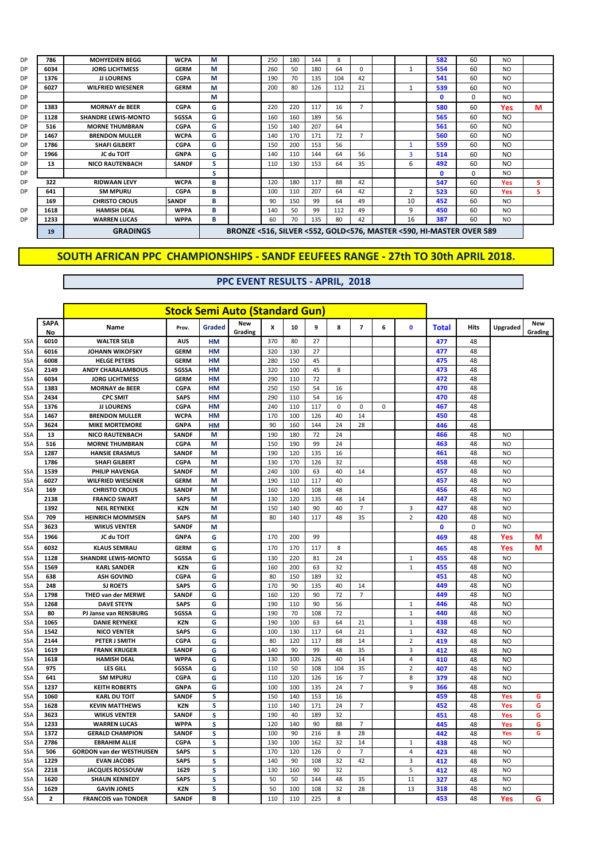| DP        |
|-----------|
| DP        |
| DP        |
| DP        |
| DP        |
| <b>DP</b> |
| <b>DP</b> |
| DP        |
| DP        |
| <b>DP</b> |
| <b>DP</b> |
| <b>DP</b> |
| DP        |
| <b>DP</b> |
|           |
| DP        |

|    | 19   | <b>GRADINGS</b>            |              |   |     |     |     |     |                |                |              | BRONZE <516, SILVER <552, GOLD<576, MASTER <590, HI-MASTER OVER 589 |                |   |
|----|------|----------------------------|--------------|---|-----|-----|-----|-----|----------------|----------------|--------------|---------------------------------------------------------------------|----------------|---|
| DР | 1233 | <b>WARREN LUCAS</b>        | <b>WPPA</b>  | В | 60  | 70  | 135 | 80  | 42             | 16             | 387          | 60                                                                  | N <sub>O</sub> |   |
| DР | 1618 | <b>HAMISH DEAL</b>         | <b>WPPA</b>  | в | 140 | 50  | 99  | 112 | 49             | 9              | 450          | 60                                                                  | N <sub>O</sub> |   |
|    | 169  | <b>CHRISTO CROUS</b>       | <b>SANDF</b> | в | 90  | 150 | 99  | 64  | 49             | 10             | 452          | 60                                                                  | N <sub>O</sub> |   |
| DР | 641  | <b>SM MPURU</b>            | <b>CGPA</b>  | в | 100 | 110 | 207 | 64  | 42             | $\overline{2}$ | 523          | 60                                                                  | Yes            | s |
| DР | 322  | <b>RIDWAAN LEVY</b>        | <b>WCPA</b>  | в | 120 | 180 | 117 | 88  | 42             |                | 547          | 60                                                                  | Yes            | s |
| DР |      |                            |              | s |     |     |     |     |                |                | $\mathbf{0}$ | $\Omega$                                                            | N <sub>O</sub> |   |
| DР | 13   | <b>NICO RAUTENBACH</b>     | <b>SANDF</b> | S | 110 | 130 | 153 | 64  | 35             | 6              | 492          | 60                                                                  | N <sub>O</sub> |   |
| DР | 1966 | JC du TOIT                 | <b>GNPA</b>  | G | 140 | 110 | 144 | 64  | 56             | 3              | 514          | 60                                                                  | N <sub>O</sub> |   |
| DР | 1786 | <b>SHAFI GILBERT</b>       | <b>CGPA</b>  | G | 150 | 200 | 153 | 56  |                |                | 559          | 60                                                                  | N <sub>O</sub> |   |
| DР | 1467 | <b>BRENDON MULLER</b>      | <b>WCPA</b>  | G | 140 | 170 | 171 | 72  | $\overline{ }$ |                | 560          | 60                                                                  | N <sub>O</sub> |   |
| DР | 516  | <b>MORNE THUMBRAN</b>      | <b>CGPA</b>  | G | 150 | 140 | 207 | 64  |                |                | 561          | 60                                                                  | N <sub>O</sub> |   |
| DР | 1128 | <b>SHANDRE LEWIS-MONTO</b> | <b>SGSSA</b> | G | 160 | 160 | 189 | 56  |                |                | 565          | 60                                                                  | NO.            |   |
| DР | 1383 | <b>MORNAY de BEER</b>      | <b>CGPA</b>  | G | 220 | 220 | 117 | 16  |                |                | 580          | 60                                                                  | Yes            | м |
| DР |      |                            |              | М |     |     |     |     |                |                | $\mathbf{0}$ | 0                                                                   | NO.            |   |
| DР | 6027 | <b>WILFRIED WIESENER</b>   | <b>GERM</b>  | М | 200 | 80  | 126 | 112 | 21             |                | 539          | 60                                                                  | N <sub>O</sub> |   |
| DР | 1376 | <b>JJ LOURENS</b>          | <b>CGPA</b>  | М | 190 | 70  | 135 | 104 | 42             |                | 541          | 60                                                                  | N <sub>O</sub> |   |
| DР | 6034 | <b>JORG LICHTMESS</b>      | <b>GERM</b>  | М | 260 | 50  | 180 | 64  | $\Omega$       |                | 554          | 60                                                                  | N <sub>O</sub> |   |
| DР | 786  | <b>MOHYEDIEN BEGG</b>      | <b>WCPA</b>  | М | 250 | 180 | 144 | 8   |                |                | 582          | 60                                                                  | N <sub>O</sub> |   |

|            |                         |                                  | <b>Stock Semi Auto (Standard Gun)</b> |               |                       |     |     |     |             |                          |             |                |              |      |                |                       |
|------------|-------------------------|----------------------------------|---------------------------------------|---------------|-----------------------|-----|-----|-----|-------------|--------------------------|-------------|----------------|--------------|------|----------------|-----------------------|
|            | <b>SAPA</b><br>No       | Name                             | Prov.                                 | <b>Graded</b> | <b>New</b><br>Grading | X   | 10  | 9   | 8           | $\overline{\phantom{a}}$ | 6           | $\mathbf{0}$   | <b>Total</b> | Hits | Upgraded       | <b>New</b><br>Grading |
| SSA        | 6010                    | <b>WALTER SELB</b>               | <b>AUS</b>                            | <b>HM</b>     |                       | 370 | 80  | 27  |             |                          |             |                | 477          | 48   |                |                       |
| SSA        | 6016                    | <b>JOHANN WIKOFSKY</b>           | <b>GERM</b>                           | <b>HM</b>     |                       | 320 | 130 | 27  |             |                          |             |                | 477          | 48   |                |                       |
| SSA        | 6008                    | <b>HELGE PETERS</b>              | <b>GERM</b>                           | HM            |                       | 280 | 150 | 45  |             |                          |             |                | 475          | 48   |                |                       |
| SSA        | 2149                    | <b>ANDY CHARALAMBOUS</b>         | SGSSA                                 | <b>HM</b>     |                       | 320 | 100 | 45  | 8           |                          |             |                | 473          | 48   |                |                       |
| SSA        | 6034                    | <b>JORG LICHTMESS</b>            | <b>GERM</b>                           | HM            |                       | 290 | 110 | 72  |             |                          |             |                | 472          | 48   |                |                       |
| SSA        | 1383                    | <b>MORNAY de BEER</b>            | <b>CGPA</b>                           | <b>HM</b>     |                       | 250 | 150 | 54  | 16          |                          |             |                | 470          | 48   |                |                       |
| SSA        | 2434                    | <b>CPC SMIT</b>                  | <b>SAPS</b>                           | <b>HM</b>     |                       | 290 | 110 | 54  | 16          |                          |             |                | 470          | 48   |                |                       |
| SSA        | 1376                    | <b>JJ LOURENS</b>                | <b>CGPA</b>                           | <b>HM</b>     |                       | 240 | 110 | 117 | $\mathbf 0$ | 0                        | $\mathbf 0$ |                | 467          | 48   |                |                       |
| SSA        | 1467                    | <b>BRENDON MULLER</b>            | <b>WCPA</b>                           | <b>HM</b>     |                       | 170 | 100 | 126 | 40          | 14                       |             |                | 450          | 48   |                |                       |
| SSA        | 3624                    | <b>MIKE MORTEMORE</b>            | <b>GNPA</b>                           | <b>HM</b>     |                       | 90  | 160 | 144 | 24          | 28                       |             |                | 446          | 48   |                |                       |
| SSA        | 13                      | <b>NICO RAUTENBACH</b>           | SANDF                                 | M             |                       | 190 | 180 | 72  | 24          |                          |             |                | 466          | 48   | <b>NO</b>      |                       |
| SSA        | 516                     | <b>MORNE THUMBRAN</b>            | <b>CGPA</b>                           | М             |                       | 150 | 190 | 99  | 24          |                          |             |                | 463          | 48   | <b>NO</b>      |                       |
| SSA        | 1287                    | <b>HANSIE ERASMUS</b>            | <b>SANDF</b>                          | M             |                       | 190 | 120 | 135 | 16          |                          |             |                | 461          | 48   | N <sub>O</sub> |                       |
|            | 1786                    | <b>SHAFI GILBERT</b>             | <b>CGPA</b>                           | М             |                       | 130 | 170 | 126 | 32          |                          |             |                | 458          | 48   | N <sub>O</sub> |                       |
| SSA        | 1539                    | <b>PHILIP HAVENGA</b>            | <b>SANDF</b>                          | M             |                       | 240 | 100 | 63  | 40          | 14                       |             |                | 457          | 48   | N <sub>O</sub> |                       |
| SSA        | 6027                    | <b>WILFRIED WIESENER</b>         | <b>GERM</b>                           | М             |                       | 190 | 110 | 117 | 40          |                          |             |                | 457          | 48   | <b>NO</b>      |                       |
| SSA        | 169                     | <b>CHRISTO CROUS</b>             | <b>SANDF</b>                          | М             |                       | 160 | 140 | 108 | 48          |                          |             |                | 456          | 48   | N <sub>O</sub> |                       |
|            | 2138                    | <b>FRANCO SWART</b>              | <b>SAPS</b>                           | M             |                       | 130 | 120 | 135 | 48          | 14                       |             |                | 447          | 48   | N <sub>O</sub> |                       |
|            | 1392                    | <b>NEIL REYNEKE</b>              | <b>KZN</b>                            | M             |                       | 150 | 140 | 90  | 40          | $\overline{7}$           |             | 3              | 427          | 48   | N <sub>O</sub> |                       |
| SSA        | 709                     | <b>HEINRICH MOMMSEN</b>          | <b>SAPS</b>                           | M             |                       | 80  | 140 | 117 | 48          | 35                       |             | $\overline{2}$ | 420          | 48   | N <sub>O</sub> |                       |
| SSA        | 3623                    | <b>WIKUS VENTER</b>              | SANDF                                 | M             |                       |     |     |     |             |                          |             |                | 0            | 0    | <b>NO</b>      |                       |
| SSA        | 1966                    | JC du TOIT                       | <b>GNPA</b>                           | G             |                       | 170 | 200 | 99  |             |                          |             |                | 469          | 48   | Yes            | М                     |
| SSA        | 6032                    | <b>KLAUS SEMRAU</b>              | <b>GERM</b>                           | G             |                       | 170 | 170 | 117 | 8           |                          |             |                | 465          | 48   | Yes            | M                     |
| SSA        | 1128                    | <b>SHANDRE LEWIS-MONTO</b>       | SGSSA                                 | G             |                       | 130 | 220 | 81  | 24          |                          |             | $1\,$          | 455          | 48   | <b>NO</b>      |                       |
| SSA        | 1569                    | <b>KARL SANDER</b>               | <b>KZN</b>                            | G             |                       | 160 | 200 | 63  | 32          |                          |             | $\mathbf 1$    | 455          | 48   | <b>NO</b>      |                       |
| SSA        | 638                     | <b>ASH GOVIND</b>                | <b>CGPA</b>                           | G             |                       | 80  | 150 | 189 | 32          |                          |             |                | 451          | 48   | <b>NO</b>      |                       |
| SSA        | 248                     | <b>SJ ROETS</b>                  | <b>SAPS</b>                           | G             |                       | 170 | 90  | 135 | 40          | 14                       |             |                | 449          | 48   | N <sub>O</sub> |                       |
| SSA        | 1798                    | <b>THEO van der MERWE</b>        | <b>SANDF</b>                          | G             |                       | 160 | 120 | 90  | 72          | $\overline{7}$           |             |                | 449          | 48   | N <sub>O</sub> |                       |
| SSA        | 1268                    | <b>DAVE STEYN</b>                | <b>SAPS</b>                           | G             |                       | 190 | 110 | 90  | 56          |                          |             | $1\,$          | 446          | 48   | N <sub>O</sub> |                       |
| SSA        | 80                      | PJ Janse van RENSBURG            | SGSSA                                 | G             |                       | 190 | 70  | 108 | 72          |                          |             | $\overline{1}$ | 440          | 48   | N <sub>O</sub> |                       |
| SSA        | 1065                    | <b>DANIE REYNEKE</b>             | <b>KZN</b>                            | G             |                       | 190 | 100 | 63  | 64          | 21                       |             | $1\,$          | 438          | 48   | N <sub>O</sub> |                       |
| SSA        | 1542                    | <b>NICO VENTER</b>               | <b>SAPS</b>                           | G             |                       | 100 | 130 | 117 | 64          | 21                       |             | $\mathbf 1$    | 432          | 48   | N <sub>O</sub> |                       |
| SSA        | 2144                    | PETER J SMITH                    | <b>CGPA</b>                           | G             |                       | 80  | 120 | 117 | 88          | 14                       |             | $\overline{2}$ | 419          | 48   | <b>NO</b>      |                       |
| SSA        | 1619                    | <b>FRANK KRUGER</b>              | <b>SANDF</b>                          | G             |                       | 140 | 90  | 99  | 48          | 35                       |             | 3              | 412          | 48   | N <sub>O</sub> |                       |
| SSA        | 1618                    | <b>HAMISH DEAL</b>               | <b>WPPA</b>                           | G             |                       | 130 | 100 | 126 | 40          | 14                       |             | $\overline{4}$ | 410          | 48   | N <sub>O</sub> |                       |
| SSA        | 975                     | <b>LES GILL</b>                  | <b>SGSSA</b>                          | G             |                       | 110 | 50  | 108 | 104         | 35                       |             | $\overline{2}$ | 407          | 48   | N <sub>O</sub> |                       |
| SSA        | 641                     | <b>SM MPURU</b>                  | <b>CGPA</b>                           | G             |                       | 110 | 120 | 126 | 16          | 7                        |             | 8              | 379          | 48   | N <sub>O</sub> |                       |
| SSA        | 1237                    | <b>KEITH ROBERTS</b>             | <b>GNPA</b>                           | G             |                       | 100 | 100 | 135 | 24          | $\overline{7}$           |             | 9              | 366          | 48   | N <sub>O</sub> |                       |
| SSA        | 1060                    | <b>KARL DU TOIT</b>              | <b>SANDF</b>                          | S             |                       | 150 | 140 | 153 | 16          |                          |             |                | 459          | 48   | Yes            | G                     |
| SSA        | 1628                    | <b>KEVIN MATTHEWS</b>            | <b>KZN</b>                            | S             |                       | 110 | 140 | 171 | 24          | 7                        |             |                | 452          | 48   | Yes            | G                     |
| SSA        | 3623                    | <b>WIKUS VENTER</b>              | <b>SANDF</b>                          | S             |                       | 190 | 40  | 189 | 32          |                          |             |                | 451          | 48   | Yes            | G                     |
| SSA        | 1233                    | <b>WARREN LUCAS</b>              | <b>WPPA</b>                           | S             |                       | 120 | 140 | 90  | 88          | $\overline{7}$           |             |                | 445          | 48   | Yes            | G                     |
| <b>SSA</b> | 1372                    | <b>GERALD CHAMPION</b>           | <b>SANDF</b>                          | S             |                       | 100 | 90  | 216 | 8           | 28                       |             |                | 442          | 48   | Yes            | G                     |
| SSA        | 2786                    | <b>EBRAHIM ALLIE</b>             | <b>CGPA</b>                           | S             |                       | 130 | 100 | 162 | 32          | 14                       |             | 1              | 438          | 48   | <b>NO</b>      |                       |
| SSA        | 506                     | <b>GORDON van der WESTHUISEN</b> | <b>SAPS</b>                           | S             |                       | 170 | 120 | 126 | 0           | 7                        |             | 4              | 423          | 48   | N <sub>O</sub> |                       |
| SSA        | 1229                    | <b>EVAN JACOBS</b>               | <b>SAPS</b>                           | S             |                       | 140 | 90  | 108 | 32          | 42                       |             | 3              | 412          | 48   | N <sub>O</sub> |                       |
| SSA        | 2218                    | <b>JACQUES ROSSOUW</b>           | 1629                                  | S             |                       | 130 | 160 | 90  | 32          |                          |             | 5              | 412          | 48   | N <sub>O</sub> |                       |
| SSA        | 1620                    | <b>SHAUN KENNEDY</b>             | <b>SAPS</b>                           | S             |                       | 50  | 50  | 144 | 48          | 35                       |             | 11             | 327          | 48   | <b>NO</b>      |                       |
| SSA        | 1629                    | <b>GAVIN JONES</b>               | <b>KZN</b>                            | S             |                       | 50  | 100 | 108 | 32          | 28                       |             | 13             | 318          | 48   | N <sub>O</sub> |                       |
| <b>SSA</b> | $\overline{\mathbf{2}}$ | <b>FRANCOIS van TONDER</b>       | <b>SANDF</b>                          | B             |                       | 110 | 110 | 225 | 8           |                          |             |                | 453          | 48   | Yes            | G                     |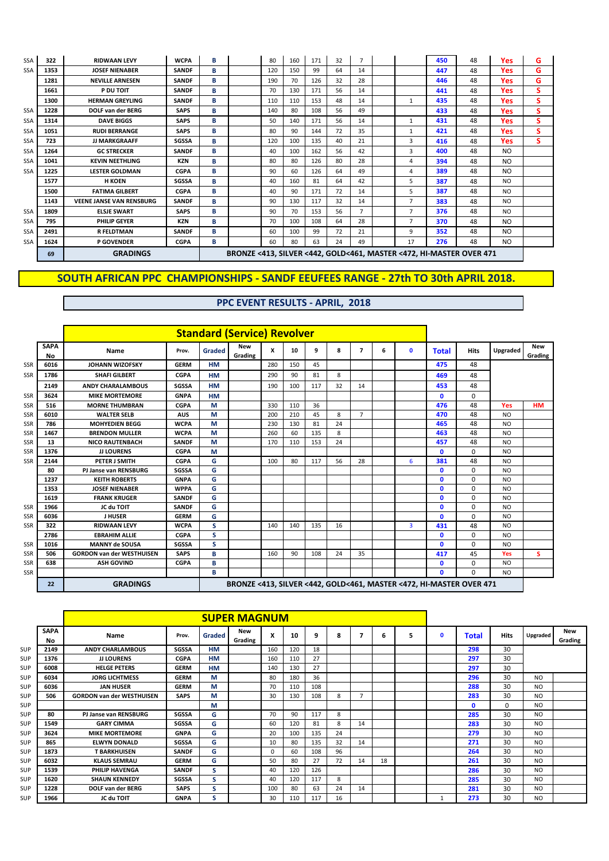| <b>SSA</b> | 322  | <b>RIDWAAN LEVY</b>             | <b>WCPA</b>  | в |                                                                     | 80  | 160 | 171 | 32 | $\overline{7}$ |                | 450 | 48 | Yes            | G |
|------------|------|---------------------------------|--------------|---|---------------------------------------------------------------------|-----|-----|-----|----|----------------|----------------|-----|----|----------------|---|
| <b>SSA</b> | 1353 | <b>JOSEF NIENABER</b>           | <b>SANDF</b> | в |                                                                     | 120 | 150 | 99  | 64 | 14             |                | 447 | 48 | Yes            | G |
|            | 1281 | <b>NEVILLE ARNESEN</b>          | <b>SANDF</b> | в |                                                                     | 190 | 70  | 126 | 32 | 28             |                | 446 | 48 | Yes            | G |
|            | 1661 | P DU TOIT                       | <b>SANDF</b> | в |                                                                     | 70  | 130 | 171 | 56 | 14             |                | 441 | 48 | Yes            | s |
|            | 1300 | <b>HERMAN GREYLING</b>          | <b>SANDF</b> | B |                                                                     | 110 | 110 | 153 | 48 | 14             | 1              | 435 | 48 | Yes            | S |
| <b>SSA</b> | 1228 | <b>DOLF van der BERG</b>        | <b>SAPS</b>  | B |                                                                     | 140 | 80  | 108 | 56 | 49             |                | 433 | 48 | Yes            | s |
| <b>SSA</b> | 1314 | <b>DAVE BIGGS</b>               | <b>SAPS</b>  | в |                                                                     | 50  | 140 | 171 | 56 | 14             | 1              | 431 | 48 | Yes            | s |
| <b>SSA</b> | 1051 | <b>RUDI BERRANGE</b>            | <b>SAPS</b>  | B |                                                                     | 80  | 90  | 144 | 72 | 35             | 1              | 421 | 48 | Yes            | s |
| <b>SSA</b> | 723  | <b>JJ MARKGRAAFF</b>            | <b>SGSSA</b> | в |                                                                     | 120 | 100 | 135 | 40 | 21             | 3              | 416 | 48 | Yes            | s |
| <b>SSA</b> | 1264 | <b>GC STRECKER</b>              | <b>SANDF</b> | в |                                                                     | 40  | 100 | 162 | 56 | 42             | 3              | 400 | 48 | N <sub>O</sub> |   |
| <b>SSA</b> | 1041 | <b>KEVIN NEETHLING</b>          | KZN          | B |                                                                     | 80  | 80  | 126 | 80 | 28             | 4              | 394 | 48 | N <sub>O</sub> |   |
| <b>SSA</b> | 1225 | <b>LESTER GOLDMAN</b>           | <b>CGPA</b>  | B |                                                                     | 90  | 60  | 126 | 64 | 49             | 4              | 389 | 48 | N <sub>O</sub> |   |
|            | 1577 | <b>H KOEN</b>                   | <b>SGSSA</b> | в |                                                                     | 40  | 160 | 81  | 64 | 42             | 5              | 387 | 48 | N <sub>O</sub> |   |
|            | 1500 | <b>FATIMA GILBERT</b>           | <b>CGPA</b>  | в |                                                                     | 40  | 90  | 171 | 72 | 14             | 5.             | 387 | 48 | N <sub>O</sub> |   |
|            | 1143 | <b>VEENE JANSE VAN RENSBURG</b> | <b>SANDF</b> | B |                                                                     | 90  | 130 | 117 | 32 | 14             | 7              | 383 | 48 | N <sub>O</sub> |   |
| <b>SSA</b> | 1809 | <b>ELSJE SWART</b>              | <b>SAPS</b>  | в |                                                                     | 90  | 70  | 153 | 56 | $\overline{7}$ | $\overline{7}$ | 376 | 48 | N <sub>O</sub> |   |
| <b>SSA</b> | 795  | <b>PHILIP GEYER</b>             | KZN          | B |                                                                     | 70  | 100 | 108 | 64 | 28             | $\overline{7}$ | 370 | 48 | N <sub>O</sub> |   |
| <b>SSA</b> | 2491 | <b>R FELDTMAN</b>               | <b>SANDF</b> | B |                                                                     | 60  | 100 | 99  | 72 | 21             | 9              | 352 | 48 | N <sub>O</sub> |   |
| <b>SSA</b> | 1624 | <b>P GOVENDER</b>               | <b>CGPA</b>  | в |                                                                     | 60  | 80  | 63  | 24 | 49             | 17             | 276 | 48 | N <sub>O</sub> |   |
|            | 69   | <b>GRADINGS</b>                 |              |   | BRONZE <413, SILVER <442, GOLD<461, MASTER <472, HI-MASTER OVER 471 |     |     |     |    |                |                |     |    |                |   |

|            |                   |                                  |              |           | <b>Standard (Service) Revolver</b>                                  |     |     |     |    |                          |   |              |              |              |                |                       |
|------------|-------------------|----------------------------------|--------------|-----------|---------------------------------------------------------------------|-----|-----|-----|----|--------------------------|---|--------------|--------------|--------------|----------------|-----------------------|
|            | <b>SAPA</b><br>No | Name                             | Prov.        | Graded    | <b>New</b><br>Grading                                               | x   | 10  | 9   | 8  | $\overline{\phantom{a}}$ | 6 | $\mathbf{0}$ | <b>Total</b> | <b>Hits</b>  | Upgraded       | <b>New</b><br>Grading |
| SSR        | 6016              | <b>JOHANN WIZOFSKY</b>           | <b>GERM</b>  | <b>HM</b> |                                                                     | 280 | 150 | 45  |    |                          |   |              | 475          | 48           |                |                       |
| <b>SSR</b> | 1786              | <b>SHAFI GILBERT</b>             | <b>CGPA</b>  | <b>HM</b> |                                                                     | 290 | 90  | 81  | 8  |                          |   |              | 469          | 48           |                |                       |
|            | 2149              | <b>ANDY CHARALAMBOUS</b>         | <b>SGSSA</b> | <b>HM</b> |                                                                     | 190 | 100 | 117 | 32 | 14                       |   |              | 453          | 48           |                |                       |
| <b>SSR</b> | 3624              | <b>MIKE MORTEMORE</b>            | <b>GNPA</b>  | <b>HM</b> |                                                                     |     |     |     |    |                          |   |              | O.           | $\Omega$     |                |                       |
| SSR        | 516               | <b>MORNE THUMBRAN</b>            | <b>CGPA</b>  | M         |                                                                     | 330 | 110 | 36  |    |                          |   |              | 476          | 48           | Yes            | <b>HM</b>             |
| SSR        | 6010              | <b>WALTER SELB</b>               | <b>AUS</b>   | M         |                                                                     | 200 | 210 | 45  | 8  | $\overline{7}$           |   |              | 470          | 48           | <b>NO</b>      |                       |
| <b>SSR</b> | 786               | <b>MOHYEDIEN BEGG</b>            | <b>WCPA</b>  | M         |                                                                     | 230 | 130 | 81  | 24 |                          |   |              | 465          | 48           | N <sub>O</sub> |                       |
| <b>SSR</b> | 1467              | <b>BRENDON MULLER</b>            | <b>WCPA</b>  | M         |                                                                     | 260 | 60  | 135 | 8  |                          |   |              | 463          | 48           | NO.            |                       |
| SSR        | 13                | <b>NICO RAUTENBACH</b>           | <b>SANDF</b> | M         |                                                                     | 170 | 110 | 153 | 24 |                          |   |              | 457          | 48           | <b>NO</b>      |                       |
| SSR        | 1376              | <b>JJ LOURENS</b>                | <b>CGPA</b>  | M         |                                                                     |     |     |     |    |                          |   |              | $\mathbf{0}$ | $\Omega$     | NO.            |                       |
| <b>SSR</b> | 2144              | <b>PETER J SMITH</b>             | <b>CGPA</b>  | G         |                                                                     | 100 | 80  | 117 | 56 | 28                       |   | 6            | 381          | 48           | NO.            |                       |
|            | 80                | <b>PJ Janse van RENSBURG</b>     | <b>SGSSA</b> | G         |                                                                     |     |     |     |    |                          |   |              | $\mathbf{0}$ | $\Omega$     | N <sub>O</sub> |                       |
|            | 1237              | <b>KEITH ROBERTS</b>             | <b>GNPA</b>  | G         |                                                                     |     |     |     |    |                          |   |              | O            | 0            | <b>NO</b>      |                       |
|            | 1353              | <b>JOSEF NIENABER</b>            | <b>WPPA</b>  | G         |                                                                     |     |     |     |    |                          |   |              | O            | 0            | NO.            |                       |
|            | 1619              | <b>FRANK KRUGER</b>              | <b>SANDF</b> | G         |                                                                     |     |     |     |    |                          |   |              | 0            | $\Omega$     | NO.            |                       |
| SSR        | 1966              | JC du TOIT                       | <b>SANDF</b> | G         |                                                                     |     |     |     |    |                          |   |              | n            | 0            | <b>NO</b>      |                       |
| SSR        | 6036              | <b>J HUSER</b>                   | <b>GERM</b>  | G         |                                                                     |     |     |     |    |                          |   |              | n            | <sup>0</sup> | N <sub>O</sub> |                       |
| <b>SSR</b> | 322               | <b>RIDWAAN LEVY</b>              | <b>WCPA</b>  | S.        |                                                                     | 140 | 140 | 135 | 16 |                          |   | 3            | 431          | 48           | NO.            |                       |
|            | 2786              | <b>EBRAHIM ALLIE</b>             | <b>CGPA</b>  | s         |                                                                     |     |     |     |    |                          |   |              | 0            | 0            | <b>NO</b>      |                       |
| <b>SSR</b> | 1016              | <b>MANNY de SOUSA</b>            | <b>SGSSA</b> | s         |                                                                     |     |     |     |    |                          |   |              | O.           | $\Omega$     | <b>NO</b>      |                       |
| <b>SSR</b> | 506               | <b>GORDON van der WESTHUISEN</b> | <b>SAPS</b>  | в         |                                                                     | 160 | 90  | 108 | 24 | 35                       |   |              | 417          | 45           | Yes            | s                     |
| SSR        | 638               | <b>ASH GOVIND</b>                | <b>CGPA</b>  | в         |                                                                     |     |     |     |    |                          |   |              | 0            | 0            | <b>NO</b>      |                       |
| SSR        |                   |                                  |              | в         |                                                                     |     |     |     |    |                          |   |              | O.           | 0            | NO.            |                       |
|            | 22                | <b>GRADINGS</b>                  |              |           | BRONZE <413, SILVER <442, GOLD<461, MASTER <472, HI-MASTER OVER 471 |     |     |     |    |                          |   |              |              |              |                |                       |

|     |                   |                                  |              |           | <b>SUPER MAGNUM</b> |          |     |     |    |                |    |   |             |       |      |                 |                |
|-----|-------------------|----------------------------------|--------------|-----------|---------------------|----------|-----|-----|----|----------------|----|---|-------------|-------|------|-----------------|----------------|
|     | <b>SAPA</b><br>No | <b>Name</b>                      | Prov.        | Graded    | New<br>Grading      | x        | 10  | 9   | 8  | 7              | 6  | 5 | $\mathbf 0$ | Total | Hits | <b>Upgraded</b> | New<br>Grading |
| SUP | 2149              | <b>ANDY CHARLAMBOUS</b>          | <b>SGSSA</b> | <b>HM</b> |                     | 160      | 120 | 18  |    |                |    |   |             | 298   | 30   |                 |                |
| SUP | 1376              | <b>JJ LOURENS</b>                | <b>CGPA</b>  | <b>HM</b> |                     | 160      | 110 | 27  |    |                |    |   |             | 297   | 30   |                 |                |
| SUP | 6008              | <b>HELGE PETERS</b>              | <b>GERM</b>  | <b>HM</b> |                     | 140      | 130 | 27  |    |                |    |   |             | 297   | 30   |                 |                |
| SUP | 6034              | <b>JORG LICHTMESS</b>            | <b>GERM</b>  | М         |                     | 80       | 180 | 36  |    |                |    |   |             | 296   | 30   | NO.             |                |
| SUP | 6036              | <b>JAN HUSER</b>                 | <b>GERM</b>  | М         |                     | 70       | 110 | 108 |    |                |    |   |             | 288   | 30   | <b>NO</b>       |                |
| SUP | 506               | <b>GORDON van der WESTHUISEN</b> | <b>SAPS</b>  | M         |                     | 30       | 130 | 108 | 8  | $\overline{7}$ |    |   |             | 283   | 30   | <b>NO</b>       |                |
| SUP |                   |                                  |              | М         |                     |          |     |     |    |                |    |   |             | 0     | 0    | <b>NO</b>       |                |
| SUP | 80                | <b>PJ Janse van RENSBURG</b>     | <b>SGSSA</b> | G         |                     | 70       | 90  | 117 | 8  |                |    |   |             | 285   | 30   | <b>NO</b>       |                |
| SUP | 1549              | <b>GARY CIMMA</b>                | SGSSA        | G         |                     | 60       | 120 | 81  | 8  | 14             |    |   |             | 283   | 30   | <b>NO</b>       |                |
| SUP | 3624              | <b>MIKE MORTEMORE</b>            | <b>GNPA</b>  | G         |                     | 20       | 100 | 135 | 24 |                |    |   |             | 279   | 30   | <b>NO</b>       |                |
| SUP | 865               | <b>ELWYN DONALD</b>              | <b>SGSSA</b> | G         |                     | 10       | 80  | 135 | 32 | 14             |    |   |             | 271   | 30   | <b>NO</b>       |                |
| SUP | 1873              | <b>T BARKHUISEN</b>              | <b>SANDF</b> | G         |                     | $\Omega$ | 60  | 108 | 96 |                |    |   |             | 264   | 30   | <b>NO</b>       |                |
| SUP | 6032              | <b>KLAUS SEMRAU</b>              | <b>GERM</b>  | G         |                     | 50       | 80  | 27  | 72 | 14             | 18 |   |             | 261   | 30   | <b>NO</b>       |                |
| SUP | 1539              | PHILIP HAVENGA                   | <b>SANDF</b> | s         |                     | 40       | 120 | 126 |    |                |    |   |             | 286   | 30   | <b>NO</b>       |                |
| SUP | 1620              | <b>SHAUN KENNEDY</b>             | SGSSA        | s         |                     | 40       | 120 | 117 | 8  |                |    |   |             | 285   | 30   | <b>NO</b>       |                |
| SUP | 1228              | <b>DOLF van der BERG</b>         | <b>SAPS</b>  | s         |                     | 100      | 80  | 63  | 24 | 14             |    |   |             | 281   | 30   | <b>NO</b>       |                |
| SUP | 1966              | JC du TOIT                       | <b>GNPA</b>  | S         |                     | 30       | 110 | 117 | 16 |                |    |   |             | 273   | 30   | N <sub>O</sub>  |                |